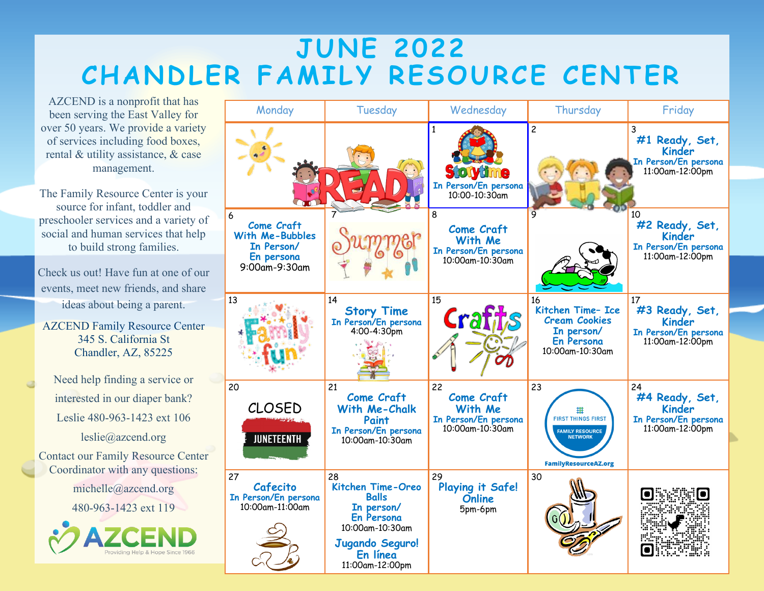## **JUNE 2022 CHANDLER FAMILY RESOURCE CENTER**

AZCEND is a nonprofit that has been serving the East Valley for over 50 years. We provide a variety of services including food boxes, rental & utility assistance, & case management.

The Family Resource Center is your source for infant, toddler and preschooler services and a variety of social and human services that help to build strong families.

Check us out! Have fun at one of our events, meet new friends, and share ideas about being a parent.

AZCEND Family Resource Center 345 S. California St Chandler, AZ, 85225

Need help finding a service or interested in our diaper bank? Leslie 480-963-1423 ext 106 leslie@azcend.org Contact our Family Resource Center Coordinator with any questions: michelle@azcend.org

480-963-1423 ext 119